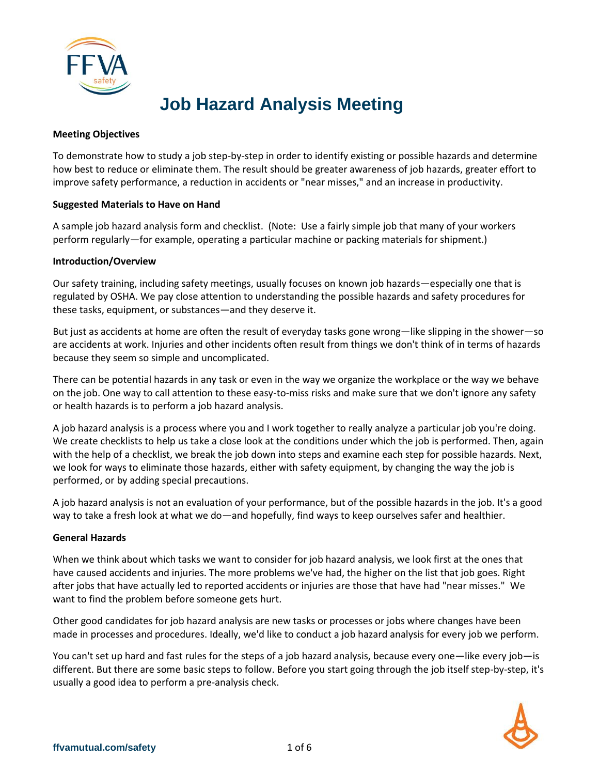

# **Job Hazard Analysis Meeting**

## **Meeting Objectives**

To demonstrate how to study a job step-by-step in order to identify existing or possible hazards and determine how best to reduce or eliminate them. The result should be greater awareness of job hazards, greater effort to improve safety performance, a reduction in accidents or "near misses," and an increase in productivity.

## **Suggested Materials to Have on Hand**

A sample job hazard analysis form and checklist. (Note: Use a fairly simple job that many of your workers perform regularly—for example, operating a particular machine or packing materials for shipment.)

## **Introduction/Overview**

Our safety training, including safety meetings, usually focuses on known job hazards—especially one that is regulated by OSHA. We pay close attention to understanding the possible hazards and safety procedures for these tasks, equipment, or substances—and they deserve it.

But just as accidents at home are often the result of everyday tasks gone wrong—like slipping in the shower—so are accidents at work. Injuries and other incidents often result from things we don't think of in terms of hazards because they seem so simple and uncomplicated.

There can be potential hazards in any task or even in the way we organize the workplace or the way we behave on the job. One way to call attention to these easy-to-miss risks and make sure that we don't ignore any safety or health hazards is to perform a job hazard analysis.

A job hazard analysis is a process where you and I work together to really analyze a particular job you're doing. We create checklists to help us take a close look at the conditions under which the job is performed. Then, again with the help of a checklist, we break the job down into steps and examine each step for possible hazards. Next, we look for ways to eliminate those hazards, either with safety equipment, by changing the way the job is performed, or by adding special precautions.

A job hazard analysis is not an evaluation of your performance, but of the possible hazards in the job. It's a good way to take a fresh look at what we do—and hopefully, find ways to keep ourselves safer and healthier.

## **General Hazards**

When we think about which tasks we want to consider for job hazard analysis, we look first at the ones that have caused accidents and injuries. The more problems we've had, the higher on the list that job goes. Right after jobs that have actually led to reported accidents or injuries are those that have had "near misses." We want to find the problem before someone gets hurt.

Other good candidates for job hazard analysis are new tasks or processes or jobs where changes have been made in processes and procedures. Ideally, we'd like to conduct a job hazard analysis for every job we perform.

You can't set up hard and fast rules for the steps of a job hazard analysis, because every one—like every job—is different. But there are some basic steps to follow. Before you start going through the job itself step-by-step, it's usually a good idea to perform a pre-analysis check.

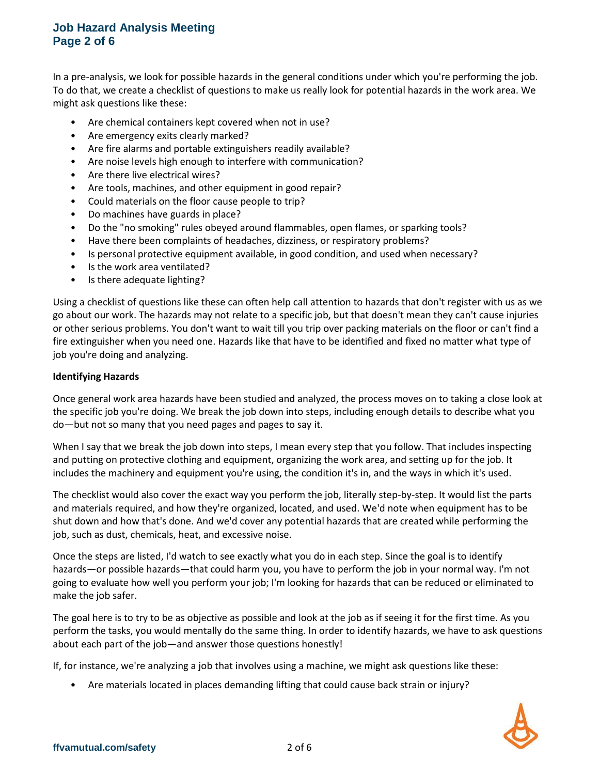# **Job Hazard Analysis Meeting Page 2 of 6**

In a pre-analysis, we look for possible hazards in the general conditions under which you're performing the job. To do that, we create a checklist of questions to make us really look for potential hazards in the work area. We might ask questions like these:

- Are chemical containers kept covered when not in use?
- Are emergency exits clearly marked?
- Are fire alarms and portable extinguishers readily available?
- Are noise levels high enough to interfere with communication?
- Are there live electrical wires?
- Are tools, machines, and other equipment in good repair?
- Could materials on the floor cause people to trip?
- Do machines have guards in place?
- Do the "no smoking" rules obeyed around flammables, open flames, or sparking tools?
- Have there been complaints of headaches, dizziness, or respiratory problems?
- Is personal protective equipment available, in good condition, and used when necessary?
- Is the work area ventilated?
- Is there adequate lighting?

Using a checklist of questions like these can often help call attention to hazards that don't register with us as we go about our work. The hazards may not relate to a specific job, but that doesn't mean they can't cause injuries or other serious problems. You don't want to wait till you trip over packing materials on the floor or can't find a fire extinguisher when you need one. Hazards like that have to be identified and fixed no matter what type of job you're doing and analyzing.

## **Identifying Hazards**

Once general work area hazards have been studied and analyzed, the process moves on to taking a close look at the specific job you're doing. We break the job down into steps, including enough details to describe what you do—but not so many that you need pages and pages to say it.

When I say that we break the job down into steps, I mean every step that you follow. That includes inspecting and putting on protective clothing and equipment, organizing the work area, and setting up for the job. It includes the machinery and equipment you're using, the condition it's in, and the ways in which it's used.

The checklist would also cover the exact way you perform the job, literally step-by-step. It would list the parts and materials required, and how they're organized, located, and used. We'd note when equipment has to be shut down and how that's done. And we'd cover any potential hazards that are created while performing the job, such as dust, chemicals, heat, and excessive noise.

Once the steps are listed, I'd watch to see exactly what you do in each step. Since the goal is to identify hazards—or possible hazards—that could harm you, you have to perform the job in your normal way. I'm not going to evaluate how well you perform your job; I'm looking for hazards that can be reduced or eliminated to make the job safer.

The goal here is to try to be as objective as possible and look at the job as if seeing it for the first time. As you perform the tasks, you would mentally do the same thing. In order to identify hazards, we have to ask questions about each part of the job—and answer those questions honestly!

If, for instance, we're analyzing a job that involves using a machine, we might ask questions like these:

• Are materials located in places demanding lifting that could cause back strain or injury?

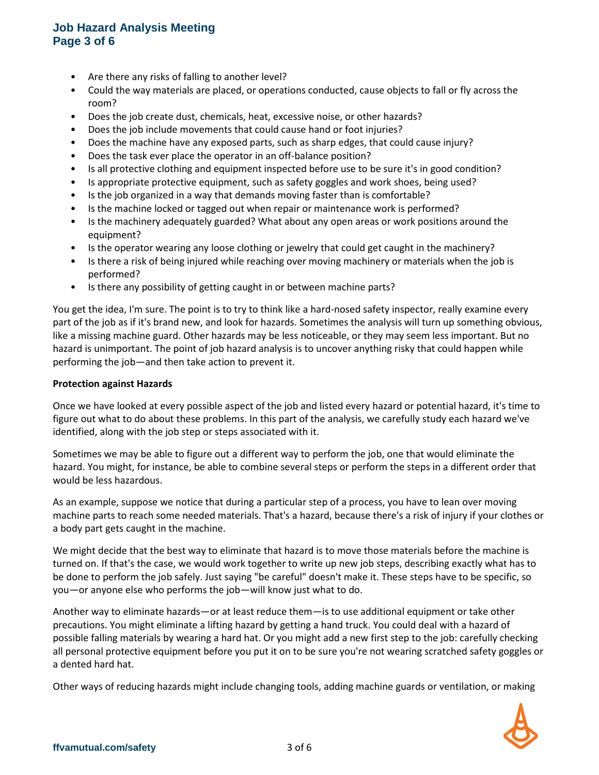# **Job Hazard Analysis Meeting Page 3 of 6**

- Are there any risks of falling to another level?
- Could the way materials are placed, or operations conducted, cause objects to fall or fly across the room?
- Does the job create dust, chemicals, heat, excessive noise, or other hazards?
- Does the job include movements that could cause hand or foot injuries?
- Does the machine have any exposed parts, such as sharp edges, that could cause injury?
- Does the task ever place the operator in an off-balance position?
- Is all protective clothing and equipment inspected before use to be sure it's in good condition?
- Is appropriate protective equipment, such as safety goggles and work shoes, being used?
- Is the job organized in a way that demands moving faster than is comfortable?
- Is the machine locked or tagged out when repair or maintenance work is performed?
- Is the machinery adequately guarded? What about any open areas or work positions around the equipment?
- Is the operator wearing any loose clothing or jewelry that could get caught in the machinery?
- Is there a risk of being injured while reaching over moving machinery or materials when the job is performed?
- Is there any possibility of getting caught in or between machine parts?

You get the idea, I'm sure. The point is to try to think like a hard-nosed safety inspector, really examine every part of the job as if it's brand new, and look for hazards. Sometimes the analysis will turn up something obvious, like a missing machine guard. Other hazards may be less noticeable, or they may seem less important. But no hazard is unimportant. The point of job hazard analysis is to uncover anything risky that could happen while performing the job—and then take action to prevent it.

#### **Protection against Hazards**

Once we have looked at every possible aspect of the job and listed every hazard or potential hazard, it's time to figure out what to do about these problems. In this part of the analysis, we carefully study each hazard we've identified, along with the job step or steps associated with it.

Sometimes we may be able to figure out a different way to perform the job, one that would eliminate the hazard. You might, for instance, be able to combine several steps or perform the steps in a different order that would be less hazardous.

As an example, suppose we notice that during a particular step of a process, you have to lean over moving machine parts to reach some needed materials. That's a hazard, because there's a risk of injury if your clothes or a body part gets caught in the machine.

We might decide that the best way to eliminate that hazard is to move those materials before the machine is turned on. If that's the case, we would work together to write up new job steps, describing exactly what has to be done to perform the job safely. Just saying "be careful" doesn't make it. These steps have to be specific, so you—or anyone else who performs the job—will know just what to do.

Another way to eliminate hazards—or at least reduce them—is to use additional equipment or take other precautions. You might eliminate a lifting hazard by getting a hand truck. You could deal with a hazard of possible falling materials by wearing a hard hat. Or you might add a new first step to the job: carefully checking all personal protective equipment before you put it on to be sure you're not wearing scratched safety goggles or a dented hard hat.

Other ways of reducing hazards might include changing tools, adding machine guards or ventilation, or making

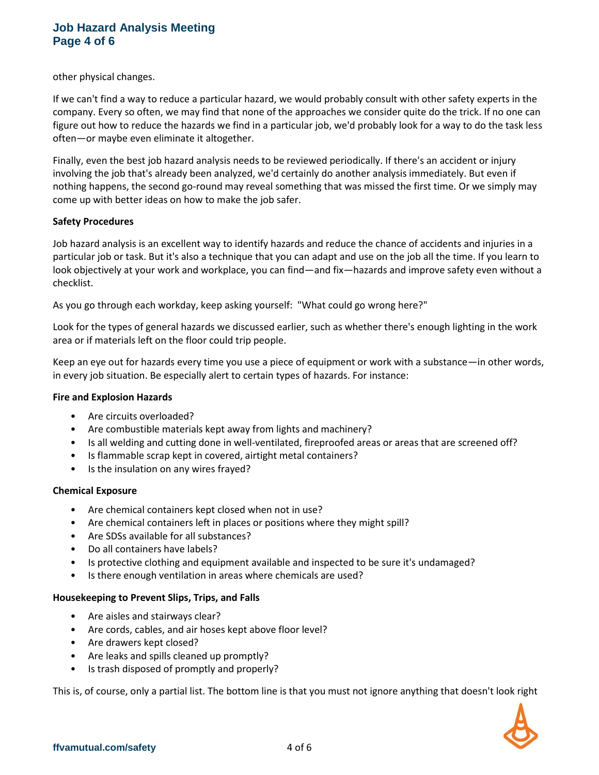# **Job Hazard Analysis Meeting Page 4 of 6**

other physical changes.

If we can't find a way to reduce a particular hazard, we would probably consult with other safety experts in the company. Every so often, we may find that none of the approaches we consider quite do the trick. If no one can figure out how to reduce the hazards we find in a particular job, we'd probably look for a way to do the task less often—or maybe even eliminate it altogether.

Finally, even the best job hazard analysis needs to be reviewed periodically. If there's an accident or injury involving the job that's already been analyzed, we'd certainly do another analysis immediately. But even if nothing happens, the second go-round may reveal something that was missed the first time. Or we simply may come up with better ideas on how to make the job safer.

## **Safety Procedures**

Job hazard analysis is an excellent way to identify hazards and reduce the chance of accidents and injuries in a particular job or task. But it's also a technique that you can adapt and use on the job all the time. If you learn to look objectively at your work and workplace, you can find—and fix—hazards and improve safety even without a checklist.

As you go through each workday, keep asking yourself: "What could go wrong here?"

Look for the types of general hazards we discussed earlier, such as whether there's enough lighting in the work area or if materials left on the floor could trip people.

Keep an eye out for hazards every time you use a piece of equipment or work with a substance—in other words, in every job situation. Be especially alert to certain types of hazards. For instance:

### **Fire and Explosion Hazards**

- Are circuits overloaded?
- Are combustible materials kept away from lights and machinery?
- Is all welding and cutting done in well-ventilated, fireproofed areas or areas that are screened off?
- Is flammable scrap kept in covered, airtight metal containers?
- Is the insulation on any wires frayed?

### **Chemical Exposure**

- Are chemical containers kept closed when not in use?
- Are chemical containers left in places or positions where they might spill?
- Are SDSs available for all substances?
- Do all containers have labels?
- Is protective clothing and equipment available and inspected to be sure it's undamaged?
- Is there enough ventilation in areas where chemicals are used?

### **Housekeeping to Prevent Slips, Trips, and Falls**

- Are aisles and stairways clear?
- Are cords, cables, and air hoses kept above floor level?
- Are drawers kept closed?
- Are leaks and spills cleaned up promptly?
- Is trash disposed of promptly and properly?

This is, of course, only a partial list. The bottom line is that you must not ignore anything that doesn't look right

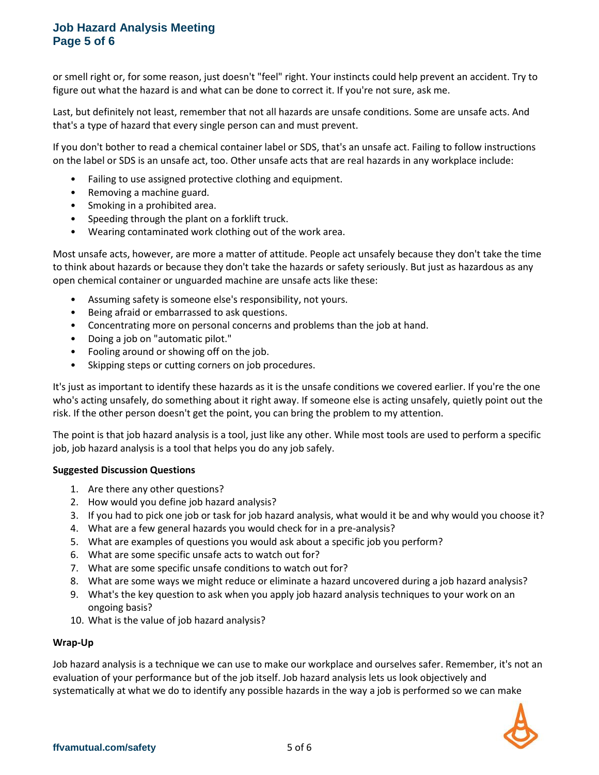# **Job Hazard Analysis Meeting Page 5 of 6**

or smell right or, for some reason, just doesn't "feel" right. Your instincts could help prevent an accident. Try to figure out what the hazard is and what can be done to correct it. If you're not sure, ask me.

Last, but definitely not least, remember that not all hazards are unsafe conditions. Some are unsafe acts. And that's a type of hazard that every single person can and must prevent.

If you don't bother to read a chemical container label or SDS, that's an unsafe act. Failing to follow instructions on the label or SDS is an unsafe act, too. Other unsafe acts that are real hazards in any workplace include:

- Failing to use assigned protective clothing and equipment.
- Removing a machine guard.
- Smoking in a prohibited area.
- Speeding through the plant on a forklift truck.
- Wearing contaminated work clothing out of the work area.

Most unsafe acts, however, are more a matter of attitude. People act unsafely because they don't take the time to think about hazards or because they don't take the hazards or safety seriously. But just as hazardous as any open chemical container or unguarded machine are unsafe acts like these:

- Assuming safety is someone else's responsibility, not yours.
- Being afraid or embarrassed to ask questions.
- Concentrating more on personal concerns and problems than the job at hand.
- Doing a job on "automatic pilot."
- Fooling around or showing off on the job.
- Skipping steps or cutting corners on job procedures.

It's just as important to identify these hazards as it is the unsafe conditions we covered earlier. If you're the one who's acting unsafely, do something about it right away. If someone else is acting unsafely, quietly point out the risk. If the other person doesn't get the point, you can bring the problem to my attention.

The point is that job hazard analysis is a tool, just like any other. While most tools are used to perform a specific job, job hazard analysis is a tool that helps you do any job safely.

### **Suggested Discussion Questions**

- 1. Are there any other questions?
- 2. How would you define job hazard analysis?
- 3. If you had to pick one job or task for job hazard analysis, what would it be and why would you choose it?
- 4. What are a few general hazards you would check for in a pre-analysis?
- 5. What are examples of questions you would ask about a specific job you perform?
- 6. What are some specific unsafe acts to watch out for?
- 7. What are some specific unsafe conditions to watch out for?
- 8. What are some ways we might reduce or eliminate a hazard uncovered during a job hazard analysis?
- 9. What's the key question to ask when you apply job hazard analysis techniques to your work on an ongoing basis?
- 10. What is the value of job hazard analysis?

### **Wrap-Up**

Job hazard analysis is a technique we can use to make our workplace and ourselves safer. Remember, it's not an evaluation of your performance but of the job itself. Job hazard analysis lets us look objectively and systematically at what we do to identify any possible hazards in the way a job is performed so we can make